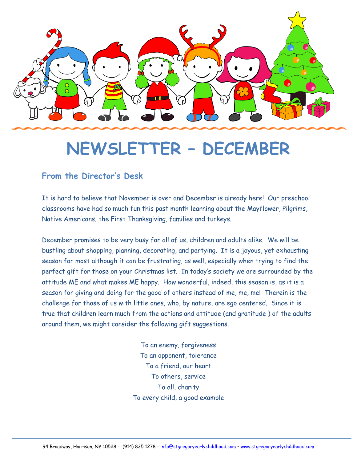

# **NEWSLETTER – DECEMBER**

#### **From the Director's Desk**

It is hard to believe that November is over and December is already here! Our preschool classrooms have had so much fun this past month learning about the Mayflower, Pilgrims, Native Americans, the First Thanksgiving, families and turkeys.

December promises to be very busy for all of us, children and adults alike. We will be bustling about shopping, planning, decorating, and partying. It is a joyous, yet exhausting season for most although it can be frustrating, as well, especially when trying to find the perfect gift for those on your Christmas list. In today's society we are surrounded by the attitude ME and what makes ME happy. How wonderful, indeed, this season is, as it is a season for giving and doing for the good of others instead of me, me, me! Therein is the challenge for those of us with little ones, who, by nature, are ego centered. Since it is true that children learn much from the actions and attitude (and gratitude ) of the adults around them, we might consider the following gift suggestions.

> To an enemy, forgiveness To an opponent, tolerance To a friend, our heart To others, service To all, charity To every child, a good example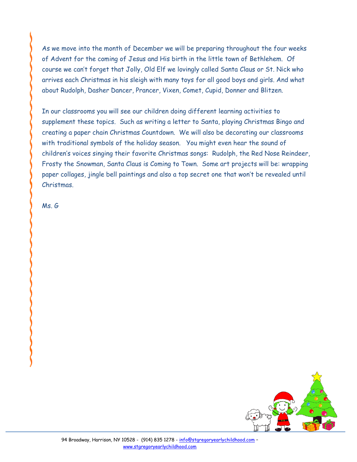As we move into the month of December we will be preparing throughout the four weeks of Advent for the coming of Jesus and His birth in the little town of Bethlehem. Of course we can't forget that Jolly, Old Elf we lovingly called Santa Claus or St. Nick who arrives each Christmas in his sleigh with many toys for all good boys and girls. And what about Rudolph, Dasher Dancer, Prancer, Vixen, Comet, Cupid, Donner and Blitzen.

In our classrooms you will see our children doing different learning activities to supplement these topics. Such as writing a letter to Santa, playing Christmas Bingo and creating a paper chain Christmas Countdown. We will also be decorating our classrooms with traditional symbols of the holiday season. You might even hear the sound of children's voices singing their favorite Christmas songs: Rudolph, the Red Nose Reindeer, Frosty the Snowman, Santa Claus is Coming to Town. Some art projects will be: wrapping paper collages, jingle bell paintings and also a top secret one that won't be revealed until Christmas.

Ms. G

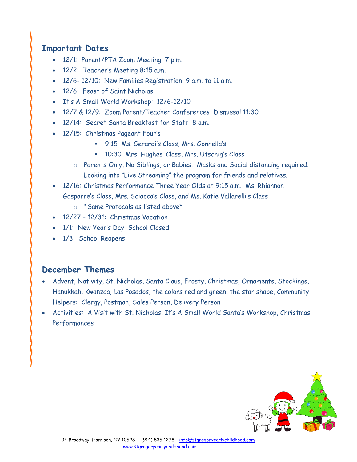#### **Important Dates**

- 12/1: Parent/PTA Zoom Meeting 7 p.m.
- 12/2: Teacher's Meeting 8:15 a.m.
- 12/6- 12/10: New Families Registration 9 a.m. to 11 a.m.
- 12/6: Feast of Saint Nicholas
- It's A Small World Workshop: 12/6-12/10
- 12/7 & 12/9: Zoom Parent/Teacher Conferences Dismissal 11:30
- 12/14: Secret Santa Breakfast for Staff 8 a.m.
- 12/15: Christmas Pageant Four's
	- 9:15 Ms. Gerardi's Class, Mrs. Gonnella's
	- 10:30 Mrs. Hughes' Class, Mrs. Utschig's Class
	- o Parents Only, No Siblings, or Babies. Masks and Social distancing required. Looking into "Live Streaming" the program for friends and relatives.
- 12/16: Christmas Performance Three Year Olds at 9:15 a.m. Ms. Rhiannon Gasparre's Class, Mrs. Sciacca's Class, and Ms. Katie Vallarelli's Class
	- o \*Same Protocols as listed above\*
- 12/27 12/31: Christmas Vacation
- 1/1: New Year's Day School Closed
- 1/3: School Reopens

#### **December Themes**

- Advent, Nativity, St. Nicholas, Santa Claus, Frosty, Christmas, Ornaments, Stockings, Hanukkah, Kwanzaa, Las Posados, the colors red and green, the star shape, Community Helpers: Clergy, Postman, Sales Person, Delivery Person
- Activities: A Visit with St. Nicholas, It's A Small World Santa's Workshop, Christmas Performances

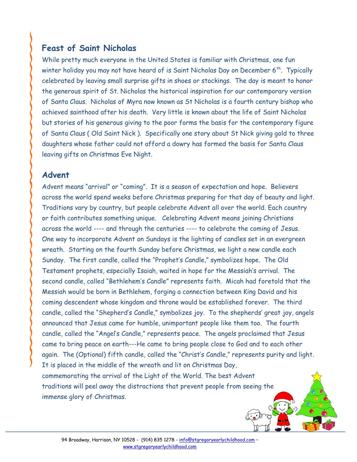### **Feast of Saint Nicholas**

While pretty much everyone in the United States is familiar with Christmas, one fun winter holiday you may not have heard of is Saint Nicholas Day on December  $6^{th}$ . Typically celebrated by leaving small surprise gifts in shoes or stockings. The day is meant to honor the generous spirit of St. Nicholas the historical inspiration for our contemporary version of Santa Claus. Nicholas of Myra now known as St Nicholas is a fourth century bishop who achieved sainthood after his death. Very little is known about the life of Saint Nicholas but stories of his generous giving to the poor forms the basis for the contemporary figure of Santa Claus ( Old Saint Nick ). Specifically one story about St Nick giving gold to three daughters whose father could not afford a dowry has formed the basis for Santa Claus leaving gifts on Christmas Eve Night.

#### **Advent**

Advent means "arrival" or "coming". It is a season of expectation and hope. Believers across the world spend weeks before Christmas preparing for that day of beauty and light. Traditions vary by country, but people celebrate Advent all over the world. Each country or faith contributes something unique. Celebrating Advent means joining Christians across the world ---- and through the centuries ---- to celebrate the coming of Jesus. One way to incorporate Advent on Sundays is the lighting of candles set in an evergreen wreath. Starting on the fourth Sunday before Christmas, we light a new candle each Sunday. The first candle, called the "Prophet's Candle," symbolizes hope. The Old Testament prophets, especially Isaiah, waited in hope for the Messiah's arrival. The second candle, called "Bethlehem's Candle" represents faith. Micah had foretold that the Messiah would be born in Bethlehem, forging a connection between King David and his coming descendent whose kingdom and throne would be established forever. The third candle, called the "Shepherd's Candle," symbolizes joy. To the shepherds' great joy, angels announced that Jesus came for humble, unimportant people like them too. The fourth candle, called the "Angel's Candle," represents peace. The angels proclaimed that Jesus came to bring peace on earth---He came to bring people close to God and to each other again. The (Optional) fifth candle, called the "Christ's Candle," represents purity and light. It is placed in the middle of the wreath and lit on Christmas Day, commemorating the arrival of the Light of the World. The best Advent traditions will peel away the distractions that prevent people from seeing the immense glory of Christmas.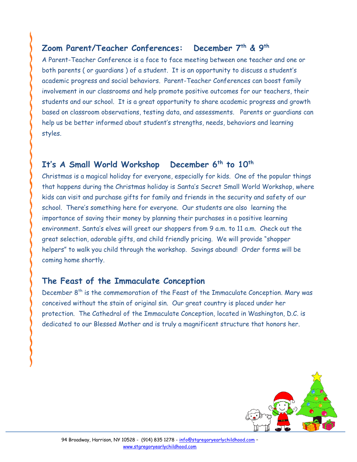## **Zoom Parent/Teacher Conferences: December 7th & 9th**

A Parent-Teacher Conference is a face to face meeting between one teacher and one or both parents ( or guardians ) of a student. It is an opportunity to discuss a student's academic progress and social behaviors. Parent-Teacher Conferences can boost family involvement in our classrooms and help promote positive outcomes for our teachers, their students and our school. It is a great opportunity to share academic progress and growth based on classroom observations, testing data, and assessments. Parents or guardians can help us be better informed about student's strengths, needs, behaviors and learning styles.

# **It's A Small World Workshop December 6th to 10th**

Christmas is a magical holiday for everyone, especially for kids. One of the popular things that happens during the Christmas holiday is Santa's Secret Small World Workshop, where kids can visit and purchase gifts for family and friends in the security and safety of our school. There's something here for everyone. Our students are also learning the importance of saving their money by planning their purchases in a positive learning environment. Santa's elves will greet our shoppers from 9 a.m. to 11 a.m. Check out the great selection, adorable gifts, and child friendly pricing. We will provide "shopper helpers" to walk you child through the workshop. Savings abound! Order forms will be coming home shortly.

#### **The Feast of the Immaculate Conception**

December 8<sup>th</sup> is the commemoration of the Feast of the Immaculate Conception. Mary was conceived without the stain of original sin. Our great country is placed under her protection. The Cathedral of the Immaculate Conception, located in Washington, D.C. is dedicated to our Blessed Mother and is truly a magnificent structure that honors her.

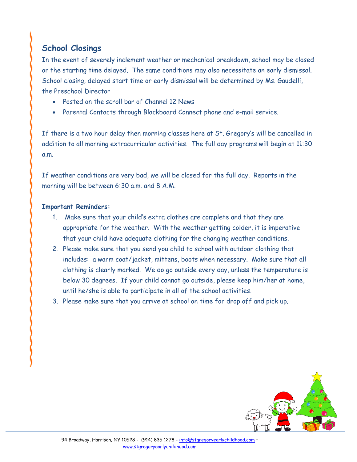# **School Closings**

In the event of severely inclement weather or mechanical breakdown, school may be closed or the starting time delayed. The same conditions may also necessitate an early dismissal. School closing, delayed start time or early dismissal will be determined by Ms. Gaudelli, the Preschool Director

- Posted on the scroll bar of Channel 12 News
- Parental Contacts through Blackboard Connect phone and e-mail service.

If there is a two hour delay then morning classes here at St. Gregory's will be cancelled in addition to all morning extracurricular activities. The full day programs will begin at 11:30 a.m.

If weather conditions are very bad, we will be closed for the full day. Reports in the morning will be between 6:30 a.m. and 8 A.M.

#### **Important Reminders:**

- 1. Make sure that your child's extra clothes are complete and that they are appropriate for the weather. With the weather getting colder, it is imperative that your child have adequate clothing for the changing weather conditions.
- 2. Please make sure that you send you child to school with outdoor clothing that includes: a warm coat/jacket, mittens, boots when necessary. Make sure that all clothing is clearly marked. We do go outside every day, unless the temperature is below 30 degrees. If your child cannot go outside, please keep him/her at home, until he/she is able to participate in all of the school activities.
- 3. Please make sure that you arrive at school on time for drop off and pick up.

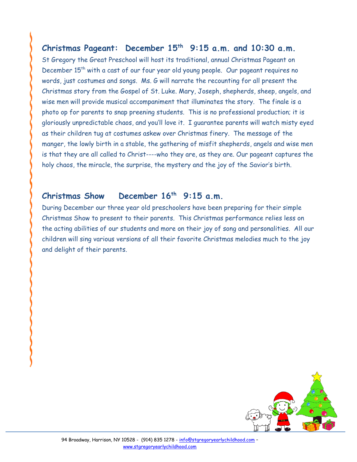#### **Christmas Pageant: December 15th 9:15 a.m. and 10:30 a.m.**

St Gregory the Great Preschool will host its traditional, annual Christmas Pageant on December 15<sup>th</sup> with a cast of our four year old young people. Our pageant requires no words, just costumes and songs. Ms. G will narrate the recounting for all present the Christmas story from the Gospel of St. Luke. Mary, Joseph, shepherds, sheep, angels, and wise men will provide musical accompaniment that illuminates the story. The finale is a photo op for parents to snap preening students. This is no professional production; it is gloriously unpredictable chaos, and you'll love it. I guarantee parents will watch misty eyed as their children tug at costumes askew over Christmas finery. The message of the manger, the lowly birth in a stable, the gathering of misfit shepherds, angels and wise men is that they are all called to Christ----who they are, as they are. Our pageant captures the holy chaos, the miracle, the surprise, the mystery and the joy of the Savior's birth.

#### **Christmas Show** December 16<sup>th</sup> 9:15 a.m.

During December our three year old preschoolers have been preparing for their simple Christmas Show to present to their parents. This Christmas performance relies less on the acting abilities of our students and more on their joy of song and personalities. All our children will sing various versions of all their favorite Christmas melodies much to the joy and delight of their parents.